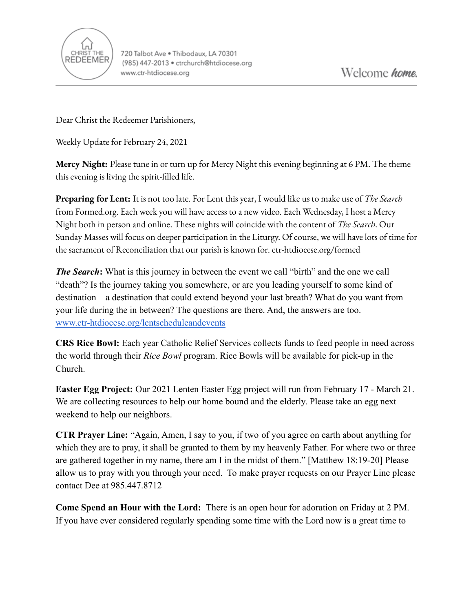

Dear Christ the Redeemer Parishioners,

Weekly Update for February 24, 2021

**Mercy Night:** Please tune in or turn up for Mercy Night this evening beginning at 6 PM. The theme this evening is living the spirit-filled life.

**Preparing for Lent:** It is not too late. For Lent this year, I would like us to make use of *The Search* from Formed.org. Each week you will have access to a new video. Each Wednesday, I host a Mercy Night both in person and online. These nights will coincide with the content of *The Search*. Our Sunday Masses will focus on deeper participation in the Liturgy. Of course, we will have lots of time for the sacrament of Reconciliation that our parish is known for. ctr-htdiocese.org/formed

*The Search*: What is this journey in between the event we call "birth" and the one we call "death"? Is the journey taking you somewhere, or are you leading yourself to some kind of destination – a destination that could extend beyond your last breath? What do you want from your life during the in between? The questions are there. And, the answers are too. [www.ctr-htdiocese.org/lentscheduleandevents](http://www.ctr-htdiocese.org/lentscheduleandevents)

**CRS Rice Bowl:** Each year Catholic Relief Services collects funds to feed people in need across the world through their *Rice Bowl* program. Rice Bowls will be available for pick-up in the Church.

**Easter Egg Project:** Our 2021 Lenten Easter Egg project will run from February 17 - March 21. We are collecting resources to help our home bound and the elderly. Please take an egg next weekend to help our neighbors.

**CTR Prayer Line:** "Again, Amen, I say to you, if two of you agree on earth about anything for which they are to pray, it shall be granted to them by my heavenly Father. For where two or three are gathered together in my name, there am I in the midst of them." [Matthew 18:19-20] Please allow us to pray with you through your need. To make prayer requests on our Prayer Line please contact Dee at 985.447.8712

**Come Spend an Hour with the Lord:** There is an open hour for adoration on Friday at 2 PM. If you have ever considered regularly spending some time with the Lord now is a great time to